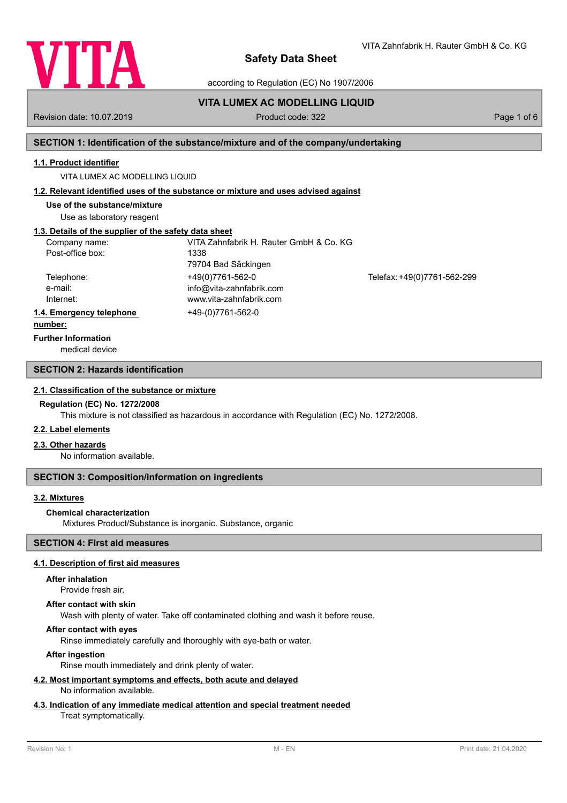

according to Regulation (EC) No 1907/2006

**VITA LUMEX AC MODELLING LIQUID** Revision date: 10.07.2019 **Product code: 322** Page 1 of 6

## **SECTION 1: Identification of the substance/mixture and of the company/undertaking**

### **1.1. Product identifier**

VITA LUMEX AC MODELLING LIQUID

### **1.2. Relevant identified uses of the substance or mixture and uses advised against**

**Use of the substance/mixture**

Use as laboratory reagent

# **1.3. Details of the supplier of the safety data sheet**

| Company name:<br>Post-office box:   | VITA Zahnfabrik H. Rauter GmbH & Co. KG<br>1338<br>79704 Bad Säckingen  |                             |
|-------------------------------------|-------------------------------------------------------------------------|-----------------------------|
| Telephone:<br>e-mail:<br>Internet:  | +49(0)7761-562-0<br>info@vita-zahnfabrik.com<br>www.vita-zahnfabrik.com | Telefax: +49(0)7761-562-299 |
| 1.4. Emergency telephone<br>numhar: | +49-(0)7761-562-0                                                       |                             |

# **number:**

medical device **Further Information**

#### **SECTION 2: Hazards identification**

#### **2.1. Classification of the substance or mixture**

#### **Regulation (EC) No. 1272/2008**

This mixture is not classified as hazardous in accordance with Regulation (EC) No. 1272/2008.

### **2.2. Label elements**

### **2.3. Other hazards**

No information available.

### **SECTION 3: Composition/information on ingredients**

## **3.2. Mixtures**

#### **Chemical characterization**

Mixtures Product/Substance is inorganic. Substance, organic

## **SECTION 4: First aid measures**

## **4.1. Description of first aid measures**

#### **After inhalation**

Provide fresh air.

#### **After contact with skin**

Wash with plenty of water. Take off contaminated clothing and wash it before reuse.

## **After contact with eyes**

Rinse immediately carefully and thoroughly with eye-bath or water.

## **After ingestion**

Rinse mouth immediately and drink plenty of water.

#### **4.2. Most important symptoms and effects, both acute and delayed** No information available.

## **4.3. Indication of any immediate medical attention and special treatment needed**

### Treat symptomatically.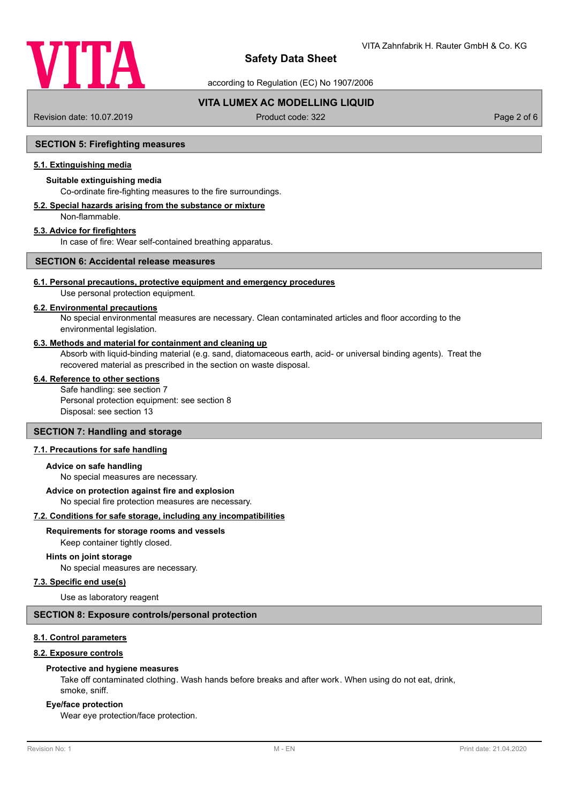

according to Regulation (EC) No 1907/2006

# **VITA LUMEX AC MODELLING LIQUID**

Revision date: 10.07.2019 **Product code: 322** Page 2 of 6

## **SECTION 5: Firefighting measures**

# **5.1. Extinguishing media**

## **Suitable extinguishing media**

Co-ordinate fire-fighting measures to the fire surroundings.

#### **5.2. Special hazards arising from the substance or mixture** Non-flammable.

## **5.3. Advice for firefighters**

In case of fire: Wear self-contained breathing apparatus.

# **SECTION 6: Accidental release measures**

## **6.1. Personal precautions, protective equipment and emergency procedures**

Use personal protection equipment.

## **6.2. Environmental precautions**

No special environmental measures are necessary. Clean contaminated articles and floor according to the environmental legislation.

### **6.3. Methods and material for containment and cleaning up**

Absorb with liquid-binding material (e.g. sand, diatomaceous earth, acid- or universal binding agents). Treat the recovered material as prescribed in the section on waste disposal.

#### **6.4. Reference to other sections**

Safe handling: see section 7 Personal protection equipment: see section 8 Disposal: see section 13

#### **SECTION 7: Handling and storage**

## **7.1. Precautions for safe handling**

#### **Advice on safe handling**

No special measures are necessary.

# **Advice on protection against fire and explosion**

No special fire protection measures are necessary.

## **7.2. Conditions for safe storage, including any incompatibilities**

**Requirements for storage rooms and vessels**

Keep container tightly closed.

## **Hints on joint storage**

No special measures are necessary.

## **7.3. Specific end use(s)**

Use as laboratory reagent

## **SECTION 8: Exposure controls/personal protection**

## **8.1. Control parameters**

## **8.2. Exposure controls**

#### **Protective and hygiene measures**

Take off contaminated clothing. Wash hands before breaks and after work. When using do not eat, drink, smoke, sniff.

#### **Eye/face protection**

Wear eye protection/face protection.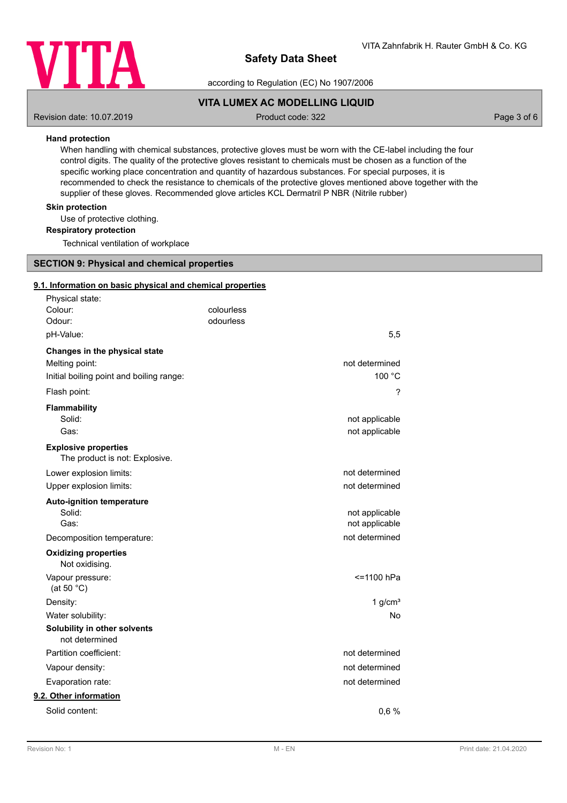

according to Regulation (EC) No 1907/2006

## **VITA LUMEX AC MODELLING LIQUID**

Revision date: 10.07.2019 **Product code: 322** Page 3 of 6

## **Hand protection**

When handling with chemical substances, protective gloves must be worn with the CE-label including the four control digits. The quality of the protective gloves resistant to chemicals must be chosen as a function of the specific working place concentration and quantity of hazardous substances. For special purposes, it is recommended to check the resistance to chemicals of the protective gloves mentioned above together with the supplier of these gloves. Recommended glove articles KCL Dermatril P NBR (Nitrile rubber)

## **Skin protection**

Use of protective clothing.

**Respiratory protection**

Technical ventilation of workplace

## **SECTION 9: Physical and chemical properties**

#### **9.1. Information on basic physical and chemical properties**

| Physical state:                                               |            |                |
|---------------------------------------------------------------|------------|----------------|
| Colour:                                                       | colourless |                |
| Odour:                                                        | odourless  |                |
| pH-Value:                                                     |            | 5,5            |
| Changes in the physical state                                 |            |                |
| Melting point:                                                |            | not determined |
| Initial boiling point and boiling range:                      |            | 100 °C         |
| Flash point:                                                  |            | ?              |
| Flammability                                                  |            |                |
| Solid:                                                        |            | not applicable |
| Gas:                                                          |            | not applicable |
| <b>Explosive properties</b><br>The product is not: Explosive. |            |                |
| Lower explosion limits:                                       |            | not determined |
| Upper explosion limits:                                       |            | not determined |
| <b>Auto-ignition temperature</b>                              |            |                |
| Solid:                                                        |            | not applicable |
| Gas:                                                          |            | not applicable |
| Decomposition temperature:                                    |            | not determined |
| <b>Oxidizing properties</b><br>Not oxidising.                 |            |                |
| Vapour pressure:<br>(at 50 $^{\circ}$ C)                      |            | <=1100 hPa     |
| Density:                                                      |            | 1 $g/cm3$      |
| Water solubility:                                             |            | <b>No</b>      |
| Solubility in other solvents<br>not determined                |            |                |
| Partition coefficient:                                        |            | not determined |
| Vapour density:                                               |            | not determined |
| Evaporation rate:                                             |            | not determined |
| 9.2. Other information                                        |            |                |
| Solid content:                                                |            | 0,6%           |
|                                                               |            |                |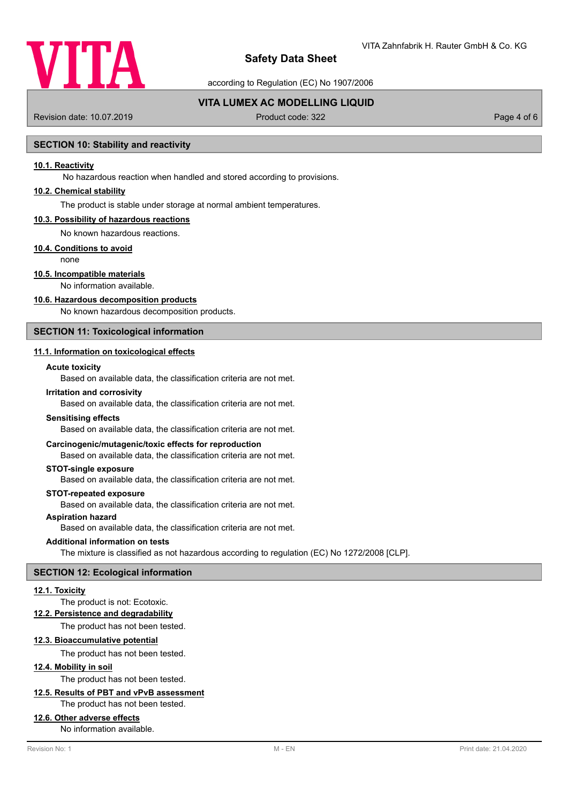

according to Regulation (EC) No 1907/2006

# **VITA LUMEX AC MODELLING LIQUID**

Revision date: 10.07.2019 **Product code: 322** Page 4 of 6

## **SECTION 10: Stability and reactivity**

## **10.1. Reactivity**

No hazardous reaction when handled and stored according to provisions.

### **10.2. Chemical stability**

The product is stable under storage at normal ambient temperatures.

#### **10.3. Possibility of hazardous reactions**

No known hazardous reactions.

## **10.4. Conditions to avoid**

none

## **10.5. Incompatible materials**

No information available.

#### **10.6. Hazardous decomposition products**

No known hazardous decomposition products.

## **SECTION 11: Toxicological information**

## **11.1. Information on toxicological effects**

### **Acute toxicity**

Based on available data, the classification criteria are not met.

#### **Irritation and corrosivity**

Based on available data, the classification criteria are not met.

#### **Sensitising effects**

Based on available data, the classification criteria are not met.

#### **Carcinogenic/mutagenic/toxic effects for reproduction**

Based on available data, the classification criteria are not met.

#### **STOT-single exposure**

Based on available data, the classification criteria are not met.

#### **STOT-repeated exposure**

Based on available data, the classification criteria are not met.

## **Aspiration hazard**

Based on available data, the classification criteria are not met.

#### **Additional information on tests**

The mixture is classified as not hazardous according to regulation (EC) No 1272/2008 [CLP].

#### **SECTION 12: Ecological information**

#### **12.1. Toxicity**

## The product is not: Ecotoxic.

**12.2. Persistence and degradability**

The product has not been tested.

### **12.3. Bioaccumulative potential**

The product has not been tested.

## **12.4. Mobility in soil**

The product has not been tested.

# **12.5. Results of PBT and vPvB assessment**

The product has not been tested.

#### **12.6. Other adverse effects**

No information available.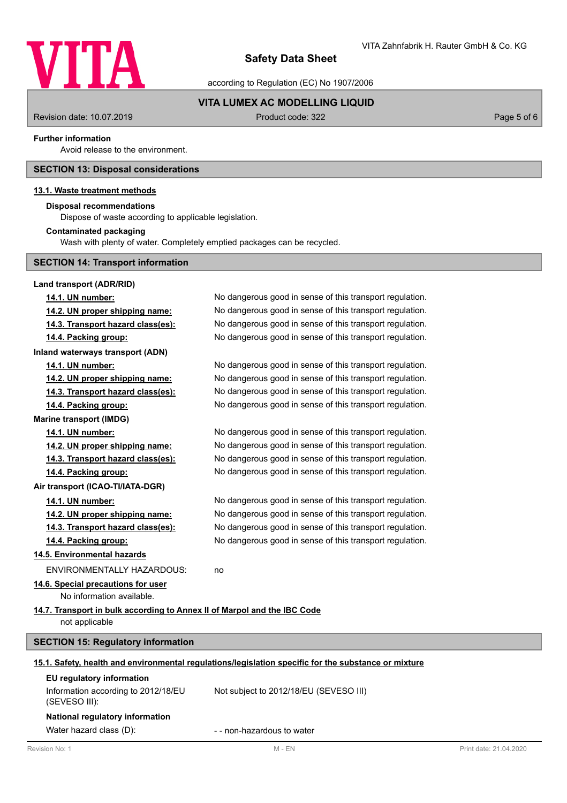

according to Regulation (EC) No 1907/2006

# **VITA LUMEX AC MODELLING LIQUID**

Revision date: 10.07.2019 **Product code: 322** Page 5 of 6

### **Further information**

Avoid release to the environment.

## **SECTION 13: Disposal considerations**

## **13.1. Waste treatment methods**

## **Disposal recommendations**

Dispose of waste according to applicable legislation.

## **Contaminated packaging**

Wash with plenty of water. Completely emptied packages can be recycled.

# **SECTION 14: Transport information**

| Land transport (ADR/RID)                                                 |                                                                                                      |                        |
|--------------------------------------------------------------------------|------------------------------------------------------------------------------------------------------|------------------------|
| 14.1. UN number:                                                         | No dangerous good in sense of this transport regulation.                                             |                        |
| 14.2. UN proper shipping name:                                           | No dangerous good in sense of this transport regulation.                                             |                        |
| 14.3. Transport hazard class(es):                                        | No dangerous good in sense of this transport regulation.                                             |                        |
| 14.4. Packing group:                                                     | No dangerous good in sense of this transport regulation.                                             |                        |
| Inland waterways transport (ADN)                                         |                                                                                                      |                        |
| 14.1. UN number:                                                         | No dangerous good in sense of this transport regulation.                                             |                        |
| 14.2. UN proper shipping name:                                           | No dangerous good in sense of this transport regulation.                                             |                        |
| 14.3. Transport hazard class(es):                                        | No dangerous good in sense of this transport regulation.                                             |                        |
| 14.4. Packing group:                                                     | No dangerous good in sense of this transport regulation.                                             |                        |
| <b>Marine transport (IMDG)</b>                                           |                                                                                                      |                        |
| 14.1. UN number:                                                         | No dangerous good in sense of this transport regulation.                                             |                        |
| 14.2. UN proper shipping name:                                           | No dangerous good in sense of this transport regulation.                                             |                        |
| 14.3. Transport hazard class(es):                                        | No dangerous good in sense of this transport regulation.                                             |                        |
| 14.4. Packing group:                                                     | No dangerous good in sense of this transport regulation.                                             |                        |
| Air transport (ICAO-TI/IATA-DGR)                                         |                                                                                                      |                        |
| 14.1. UN number:                                                         | No dangerous good in sense of this transport regulation.                                             |                        |
| 14.2. UN proper shipping name:                                           | No dangerous good in sense of this transport regulation.                                             |                        |
| 14.3. Transport hazard class(es):                                        | No dangerous good in sense of this transport regulation.                                             |                        |
| 14.4. Packing group:                                                     | No dangerous good in sense of this transport regulation.                                             |                        |
| 14.5. Environmental hazards                                              |                                                                                                      |                        |
| <b>ENVIRONMENTALLY HAZARDOUS:</b>                                        | no                                                                                                   |                        |
| 14.6. Special precautions for user                                       |                                                                                                      |                        |
| No information available.                                                |                                                                                                      |                        |
| 14.7. Transport in bulk according to Annex II of Marpol and the IBC Code |                                                                                                      |                        |
| not applicable                                                           |                                                                                                      |                        |
| <b>SECTION 15: Regulatory information</b>                                |                                                                                                      |                        |
|                                                                          | 15.1. Safety, health and environmental regulations/legislation specific for the substance or mixture |                        |
| EU regulatory information                                                |                                                                                                      |                        |
| Information according to 2012/18/EU<br>(SEVESO III):                     | Not subject to 2012/18/EU (SEVESO III)                                                               |                        |
| National regulatory information                                          |                                                                                                      |                        |
| Water hazard class (D):                                                  | - - non-hazardous to water                                                                           |                        |
| Revision No: 1                                                           | $M - EN$                                                                                             | Print date: 21.04.2020 |